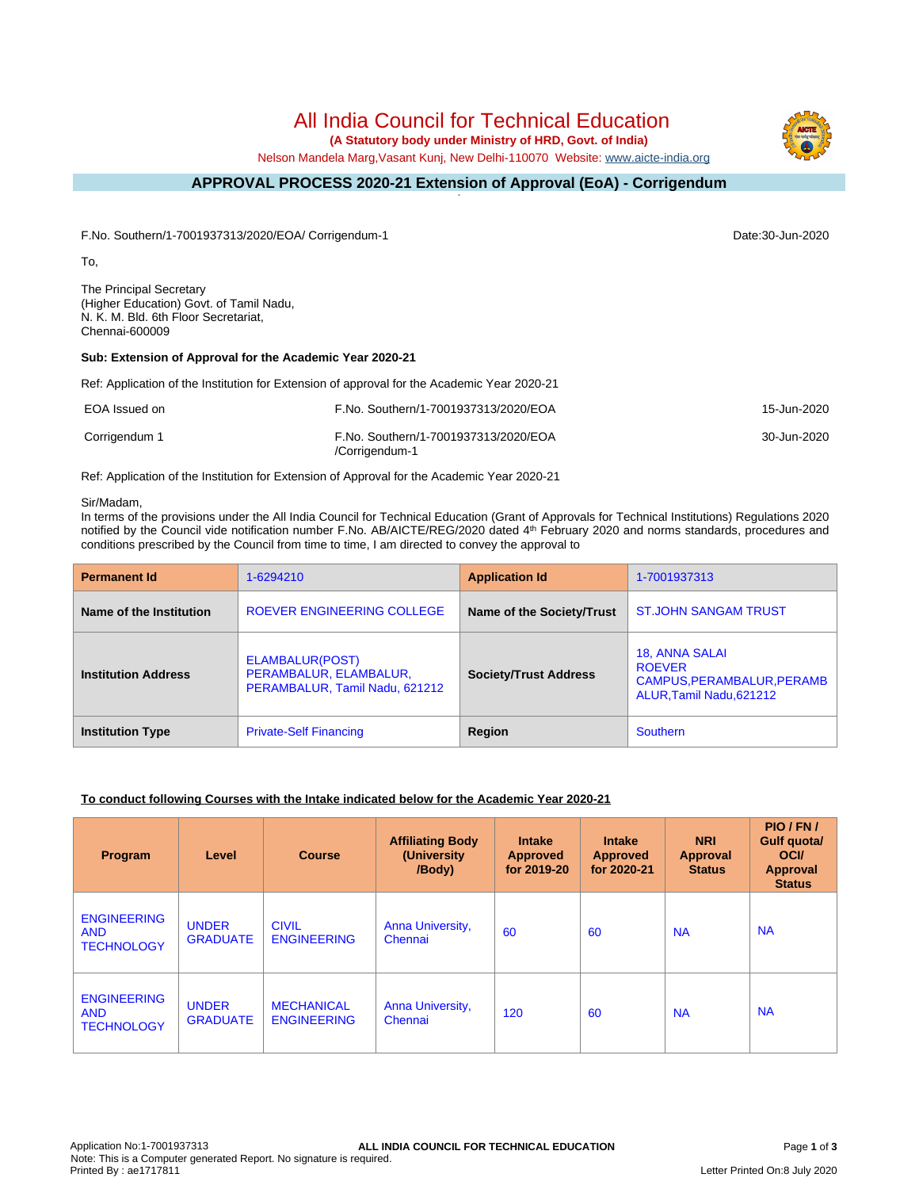# All India Council for Technical Education

 **(A Statutory body under Ministry of HRD, Govt. of India)**

Nelson Mandela Marg,Vasant Kunj, New Delhi-110070 Website: [www.aicte-india.org](http://www.aicte-india.org)

#### **APPROVAL PROCESS 2020-21 Extension of Approval (EoA) - Corrigendum -**

F.No. Southern/1-7001937313/2020/EOA/ Corrigendum-1 Date:30-Jun-2020

To,

The Principal Secretary (Higher Education) Govt. of Tamil Nadu, N. K. M. Bld. 6th Floor Secretariat, Chennai-600009

### **Sub: Extension of Approval for the Academic Year 2020-21**

Ref: Application of the Institution for Extension of approval for the Academic Year 2020-21

| EOA Issued on | F.No. Southern/1-7001937313/2020/EOA                   | 15-Jun-2020 |
|---------------|--------------------------------------------------------|-------------|
| Corrigendum 1 | F.No. Southern/1-7001937313/2020/EOA<br>/Corrigendum-1 | 30-Jun-2020 |

Ref: Application of the Institution for Extension of Approval for the Academic Year 2020-21

#### Sir/Madam,

In terms of the provisions under the All India Council for Technical Education (Grant of Approvals for Technical Institutions) Regulations 2020 notified by the Council vide notification number F.No. AB/AICTE/REG/2020 dated 4<sup>th</sup> February 2020 and norms standards, procedures and conditions prescribed by the Council from time to time, I am directed to convey the approval to

| <b>Permanent Id</b>        | 1-6294210                                                                   | <b>Application Id</b>        | 1-7001937313                                                                            |
|----------------------------|-----------------------------------------------------------------------------|------------------------------|-----------------------------------------------------------------------------------------|
| Name of the Institution    | ROEVER ENGINEERING COLLEGE                                                  | Name of the Society/Trust    | <b>ST.JOHN SANGAM TRUST</b>                                                             |
| <b>Institution Address</b> | ELAMBALUR(POST)<br>PERAMBALUR, ELAMBALUR,<br>PERAMBALUR, Tamil Nadu, 621212 | <b>Society/Trust Address</b> | 18, ANNA SALAI<br><b>ROEVER</b><br>CAMPUS, PERAMBALUR, PERAMB<br>ALUR.Tamil Nadu.621212 |
| <b>Institution Type</b>    | <b>Private-Self Financing</b>                                               | Region                       | Southern                                                                                |

### **To conduct following Courses with the Intake indicated below for the Academic Year 2020-21**

| Program                                               | Level                           | <b>Course</b>                           | <b>Affiliating Body</b><br>(University<br>/Body) | <b>Intake</b><br><b>Approved</b><br>for 2019-20 | <b>Intake</b><br><b>Approved</b><br>for 2020-21 | <b>NRI</b><br>Approval<br><b>Status</b> | PIO/FN/<br><b>Gulf quota/</b><br><b>OCI</b><br>Approval<br><b>Status</b> |
|-------------------------------------------------------|---------------------------------|-----------------------------------------|--------------------------------------------------|-------------------------------------------------|-------------------------------------------------|-----------------------------------------|--------------------------------------------------------------------------|
| <b>ENGINEERING</b><br><b>AND</b><br><b>TECHNOLOGY</b> | <b>UNDER</b><br><b>GRADUATE</b> | <b>CIVIL</b><br><b>ENGINEERING</b>      | Anna University,<br>Chennai                      | 60                                              | 60                                              | <b>NA</b>                               | <b>NA</b>                                                                |
| <b>ENGINEERING</b><br><b>AND</b><br><b>TECHNOLOGY</b> | <b>UNDER</b><br><b>GRADUATE</b> | <b>MECHANICAL</b><br><b>ENGINEERING</b> | Anna University,<br>Chennai                      | 120                                             | 60                                              | <b>NA</b>                               | <b>NA</b>                                                                |

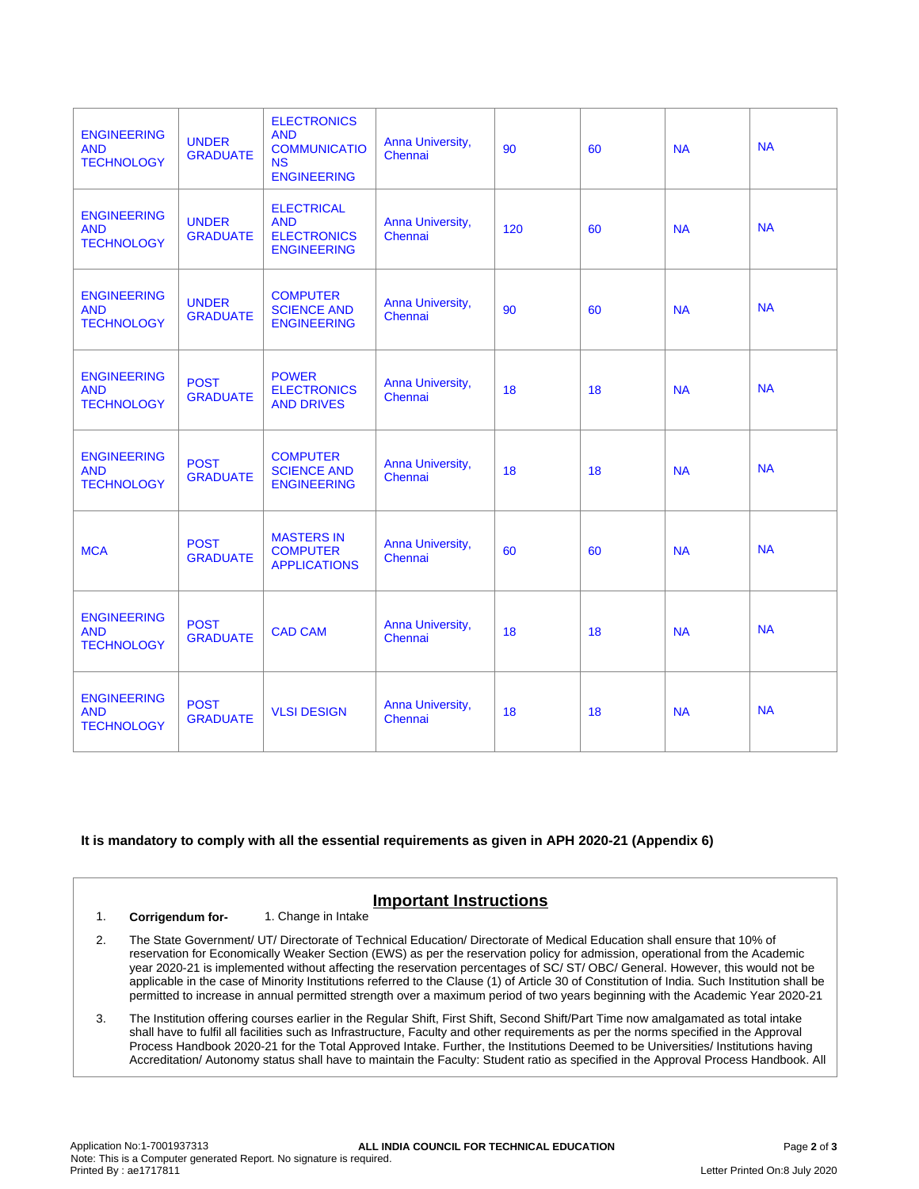| <b>ENGINEERING</b><br><b>AND</b><br><b>TECHNOLOGY</b> | <b>UNDER</b><br><b>GRADUATE</b> | <b>ELECTRONICS</b><br><b>AND</b><br><b>COMMUNICATIO</b><br><b>NS</b><br><b>ENGINEERING</b> | Anna University,<br>Chennai | 90  | 60 | <b>NA</b> | <b>NA</b> |
|-------------------------------------------------------|---------------------------------|--------------------------------------------------------------------------------------------|-----------------------------|-----|----|-----------|-----------|
| <b>ENGINEERING</b><br><b>AND</b><br><b>TECHNOLOGY</b> | <b>UNDER</b><br><b>GRADUATE</b> | <b>ELECTRICAL</b><br><b>AND</b><br><b>ELECTRONICS</b><br><b>ENGINEERING</b>                | Anna University,<br>Chennai | 120 | 60 | <b>NA</b> | <b>NA</b> |
| <b>ENGINEERING</b><br><b>AND</b><br><b>TECHNOLOGY</b> | <b>UNDER</b><br><b>GRADUATE</b> | <b>COMPUTER</b><br><b>SCIENCE AND</b><br><b>ENGINEERING</b>                                | Anna University,<br>Chennai | 90  | 60 | <b>NA</b> | <b>NA</b> |
| <b>ENGINEERING</b><br><b>AND</b><br><b>TECHNOLOGY</b> | <b>POST</b><br><b>GRADUATE</b>  | <b>POWER</b><br><b>ELECTRONICS</b><br><b>AND DRIVES</b>                                    | Anna University,<br>Chennai | 18  | 18 | <b>NA</b> | <b>NA</b> |
| <b>ENGINEERING</b><br><b>AND</b><br><b>TECHNOLOGY</b> | <b>POST</b><br><b>GRADUATE</b>  | <b>COMPUTER</b><br><b>SCIENCE AND</b><br><b>ENGINEERING</b>                                | Anna University,<br>Chennai | 18  | 18 | <b>NA</b> | <b>NA</b> |
| <b>MCA</b>                                            | <b>POST</b><br><b>GRADUATE</b>  | <b>MASTERS IN</b><br><b>COMPUTER</b><br><b>APPLICATIONS</b>                                | Anna University,<br>Chennai | 60  | 60 | <b>NA</b> | <b>NA</b> |
| <b>ENGINEERING</b><br><b>AND</b><br><b>TECHNOLOGY</b> | <b>POST</b><br><b>GRADUATE</b>  | <b>CAD CAM</b>                                                                             | Anna University,<br>Chennai | 18  | 18 | <b>NA</b> | <b>NA</b> |
| <b>ENGINEERING</b><br><b>AND</b><br><b>TECHNOLOGY</b> | <b>POST</b><br><b>GRADUATE</b>  | <b>VLSI DESIGN</b>                                                                         | Anna University,<br>Chennai | 18  | 18 | <b>NA</b> | <b>NA</b> |

### **It is mandatory to comply with all the essential requirements as given in APH 2020-21 (Appendix 6)**

## **Important Instructions**

1. **Corrigendum for-** 1. Change in Intake

- 2. The State Government/ UT/ Directorate of Technical Education/ Directorate of Medical Education shall ensure that 10% of reservation for Economically Weaker Section (EWS) as per the reservation policy for admission, operational from the Academic year 2020-21 is implemented without affecting the reservation percentages of SC/ ST/ OBC/ General. However, this would not be applicable in the case of Minority Institutions referred to the Clause (1) of Article 30 of Constitution of India. Such Institution shall be permitted to increase in annual permitted strength over a maximum period of two years beginning with the Academic Year 2020-21
- 3. The Institution offering courses earlier in the Regular Shift, First Shift, Second Shift/Part Time now amalgamated as total intake shall have to fulfil all facilities such as Infrastructure, Faculty and other requirements as per the norms specified in the Approval Process Handbook 2020-21 for the Total Approved Intake. Further, the Institutions Deemed to be Universities/ Institutions having Accreditation/ Autonomy status shall have to maintain the Faculty: Student ratio as specified in the Approval Process Handbook. All